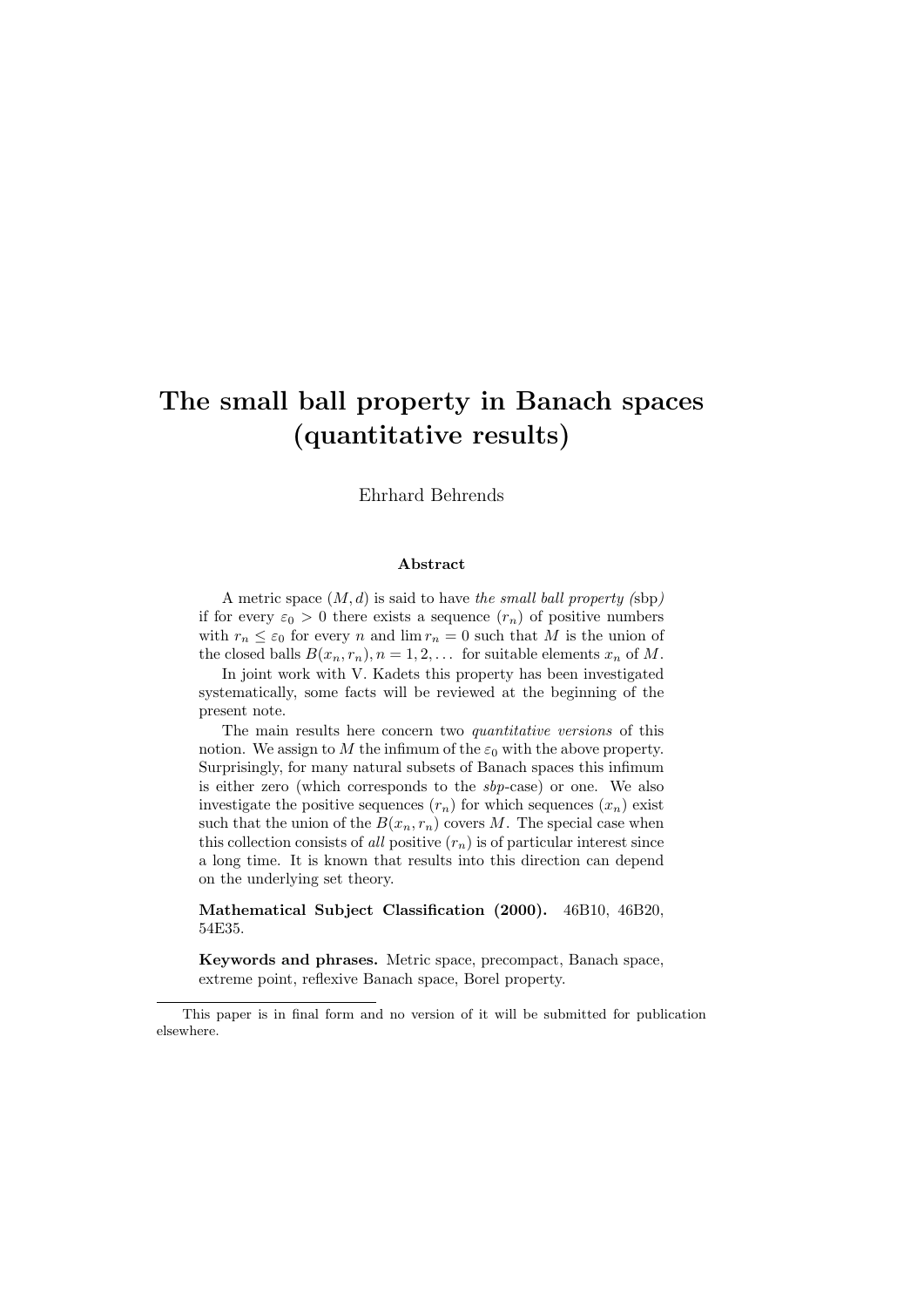# The small ball property in Banach spaces (quantitative results)

Ehrhard Behrends

#### Abstract

A metric space  $(M, d)$  is said to have the small ball property (sbp) if for every  $\varepsilon_0 > 0$  there exists a sequence  $(r_n)$  of positive numbers with  $r_n \leq \varepsilon_0$  for every n and  $\lim r_n = 0$  such that M is the union of the closed balls  $B(x_n, r_n)$ ,  $n = 1, 2, \ldots$  for suitable elements  $x_n$  of M.

In joint work with V. Kadets this property has been investigated systematically, some facts will be reviewed at the beginning of the present note.

The main results here concern two quantitative versions of this notion. We assign to M the infimum of the  $\varepsilon_0$  with the above property. Surprisingly, for many natural subsets of Banach spaces this infimum is either zero (which corresponds to the sbp-case) or one. We also investigate the positive sequences  $(r_n)$  for which sequences  $(x_n)$  exist such that the union of the  $B(x_n, r_n)$  covers M. The special case when this collection consists of all positive  $(r_n)$  is of particular interest since a long time. It is known that results into this direction can depend on the underlying set theory.

Mathematical Subject Classification (2000). 46B10, 46B20, 54E35.

Keywords and phrases. Metric space, precompact, Banach space, extreme point, reflexive Banach space, Borel property.

This paper is in final form and no version of it will be submitted for publication elsewhere.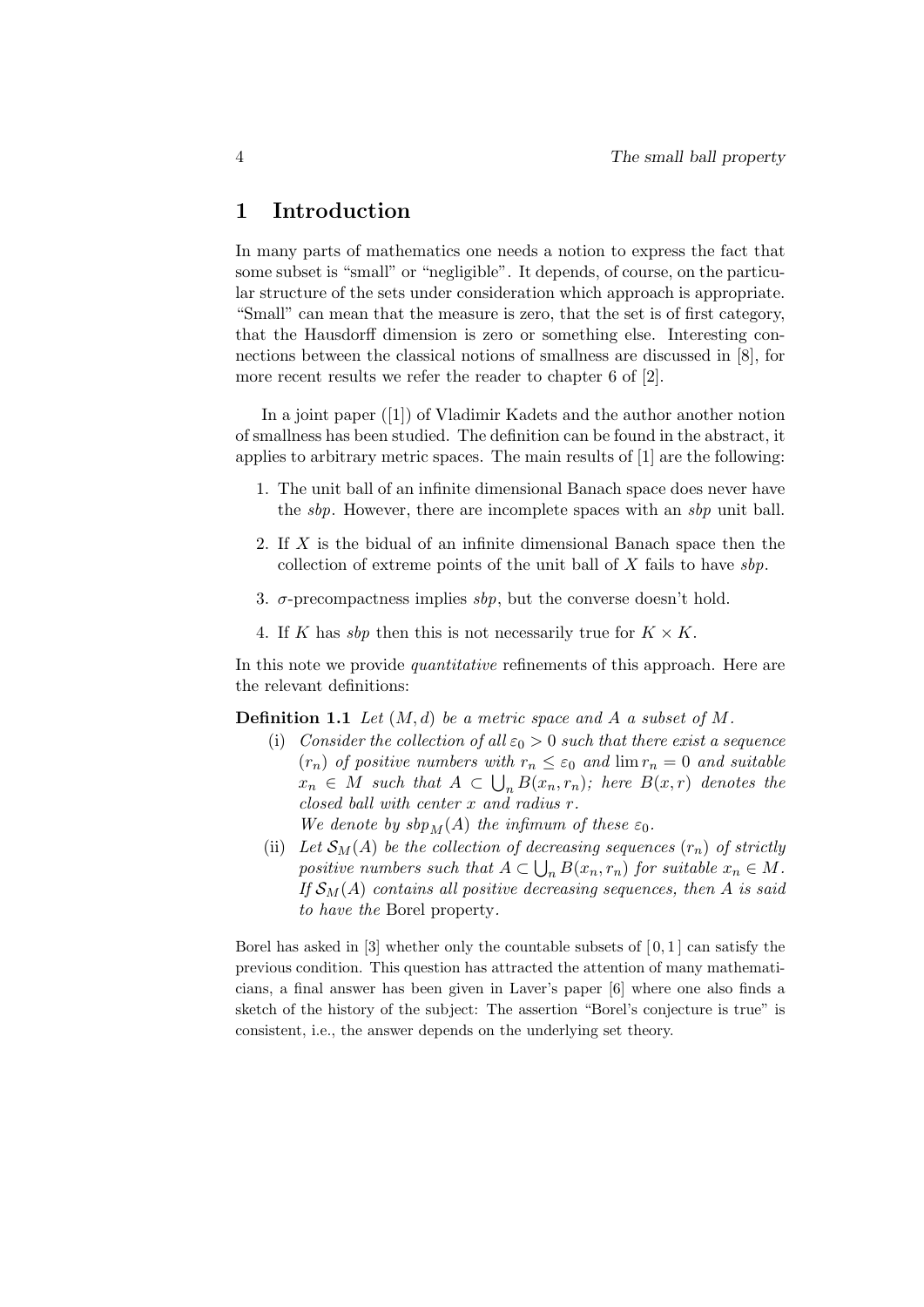### 1 Introduction

In many parts of mathematics one needs a notion to express the fact that some subset is "small" or "negligible". It depends, of course, on the particular structure of the sets under consideration which approach is appropriate. "Small" can mean that the measure is zero, that the set is of first category, that the Hausdorff dimension is zero or something else. Interesting connections between the classical notions of smallness are discussed in [8], for more recent results we refer the reader to chapter 6 of [2].

In a joint paper ([1]) of Vladimir Kadets and the author another notion of smallness has been studied. The definition can be found in the abstract, it applies to arbitrary metric spaces. The main results of [1] are the following:

- 1. The unit ball of an infinite dimensional Banach space does never have the *sbp*. However, there are incomplete spaces with an *sbp* unit ball.
- 2. If X is the bidual of an infinite dimensional Banach space then the collection of extreme points of the unit ball of  $X$  fails to have  $sbp$ .
- 3.  $\sigma$ -precompactness implies sbp, but the converse doesn't hold.
- 4. If K has sbp then this is not necessarily true for  $K \times K$ .

In this note we provide *quantitative* refinements of this approach. Here are the relevant definitions:

**Definition 1.1** Let  $(M, d)$  be a metric space and A a subset of M.

- (i) Consider the collection of all  $\varepsilon_0 > 0$  such that there exist a sequence  $(r_n)$  of positive numbers with  $r_n \leq \varepsilon_0$  and  $\lim r_n = 0$  and suitable  $x_n \in M$  such that  $A \subset \bigcup_n B(x_n,r_n)$ ; here  $B(x,r)$  denotes the closed ball with center x and radius r.
	- We denote by  $sbp_M(A)$  the infimum of these  $\varepsilon_0$ .
- (ii) Let  $\mathcal{S}_M(A)$  be the collection of decreasing sequences  $(r_n)$  of strictly positive numbers such that  $A \subset \bigcup_n B(x_n, r_n)$  for suitable  $x_n \in M$ . If  $\mathcal{S}_M(A)$  contains all positive decreasing sequences, then A is said to have the Borel property.

Borel has asked in  $[3]$  whether only the countable subsets of  $[0,1]$  can satisfy the previous condition. This question has attracted the attention of many mathematicians, a final answer has been given in Laver's paper [6] where one also finds a sketch of the history of the subject: The assertion "Borel's conjecture is true" is consistent, i.e., the answer depends on the underlying set theory.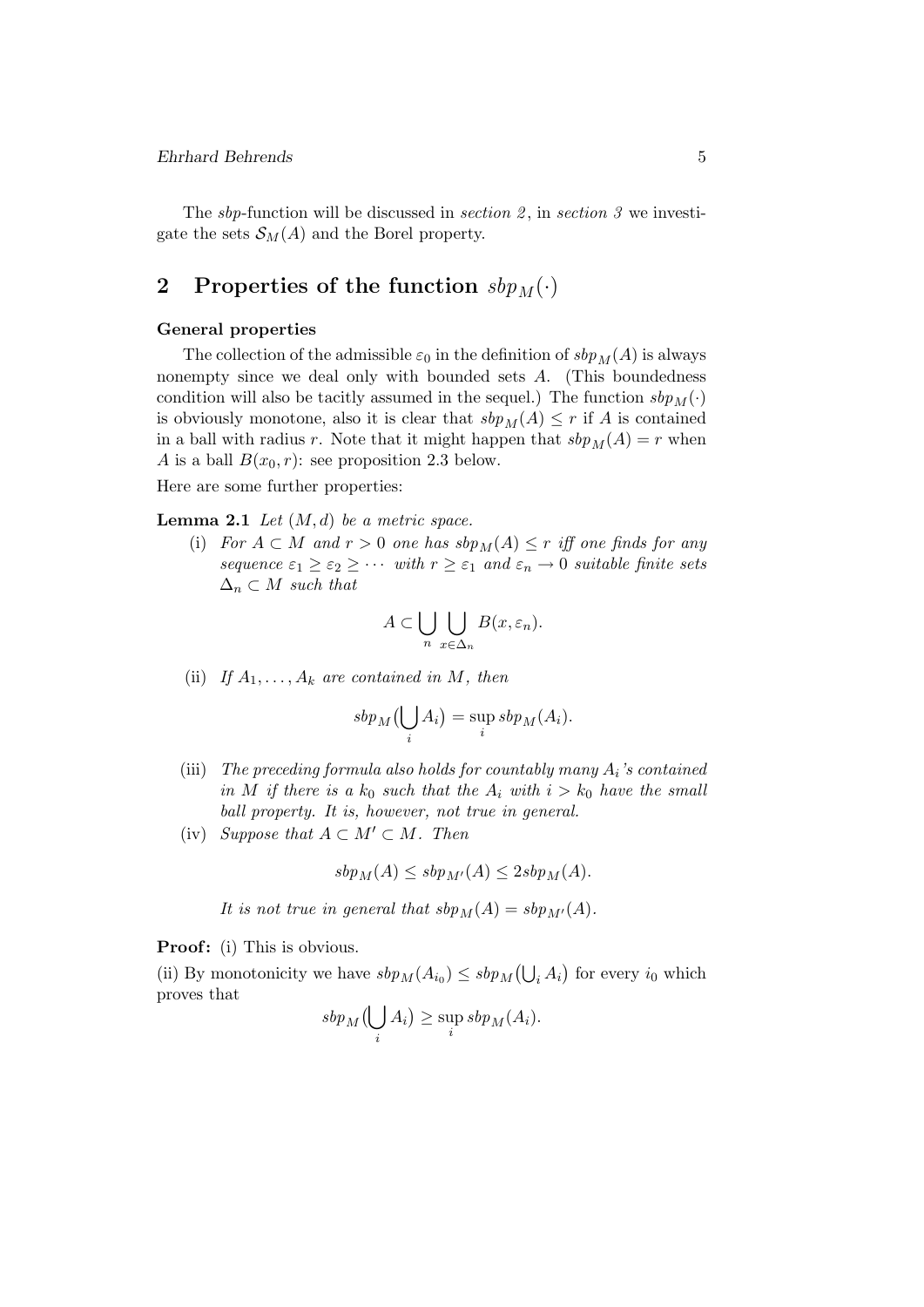#### Ehrhard Behrends 5

The *sbp*-function will be discussed in *section* 2, in *section* 3 we investigate the sets  $\mathcal{S}_M(A)$  and the Borel property.

# 2 Properties of the function  $sbp_M(\cdot)$

### General properties

The collection of the admissible  $\varepsilon_0$  in the definition of  $sbp_M(A)$  is always nonempty since we deal only with bounded sets A. (This boundedness condition will also be tacitly assumed in the sequel.) The function  $sbp_M(\cdot)$ is obviously monotone, also it is clear that  $sbp<sub>M</sub>(A) \leq r$  if A is contained in a ball with radius r. Note that it might happen that  $sbp<sub>M</sub>(A) = r$  when A is a ball  $B(x_0, r)$ : see proposition 2.3 below.

Here are some further properties:

**Lemma 2.1** Let  $(M, d)$  be a metric space.

(i) For  $A \subset M$  and  $r > 0$  one has  $sbp_M(A) \leq r$  iff one finds for any sequence  $\varepsilon_1 \geq \varepsilon_2 \geq \cdots$  with  $r \geq \varepsilon_1$  and  $\varepsilon_n \to 0$  suitable finite sets  $\Delta_n \subset M$  such that

$$
A \subset \bigcup_{n} \bigcup_{x \in \Delta_n} B(x, \varepsilon_n).
$$

(ii) If  $A_1, \ldots, A_k$  are contained in M, then

$$
sbp_M(\bigcup_i A_i) = \sup_i sbp_M(A_i).
$$

- (iii) The preceding formula also holds for countably many  $A_i$ 's contained in M if there is a  $k_0$  such that the  $A_i$  with  $i > k_0$  have the small ball property. It is, however, not true in general.
- (iv) Suppose that  $A \subset M' \subset M$ . Then

$$
sbp_M(A) \leq sbp_{M'}(A) \leq 2sbp_M(A).
$$

It is not true in general that  $sbp<sub>M</sub>(A) = sbp<sub>M'</sub>(A)$ .

**Proof:** (i) This is obvious.

(ii) By monotonicity we have  $sbp_M(A_{i_0}) \leq sbp_M(\bigcup_i A_i)$  for every  $i_0$  which proves that

$$
sbp_M(\bigcup_i A_i) \ge \sup_i sbp_M(A_i).
$$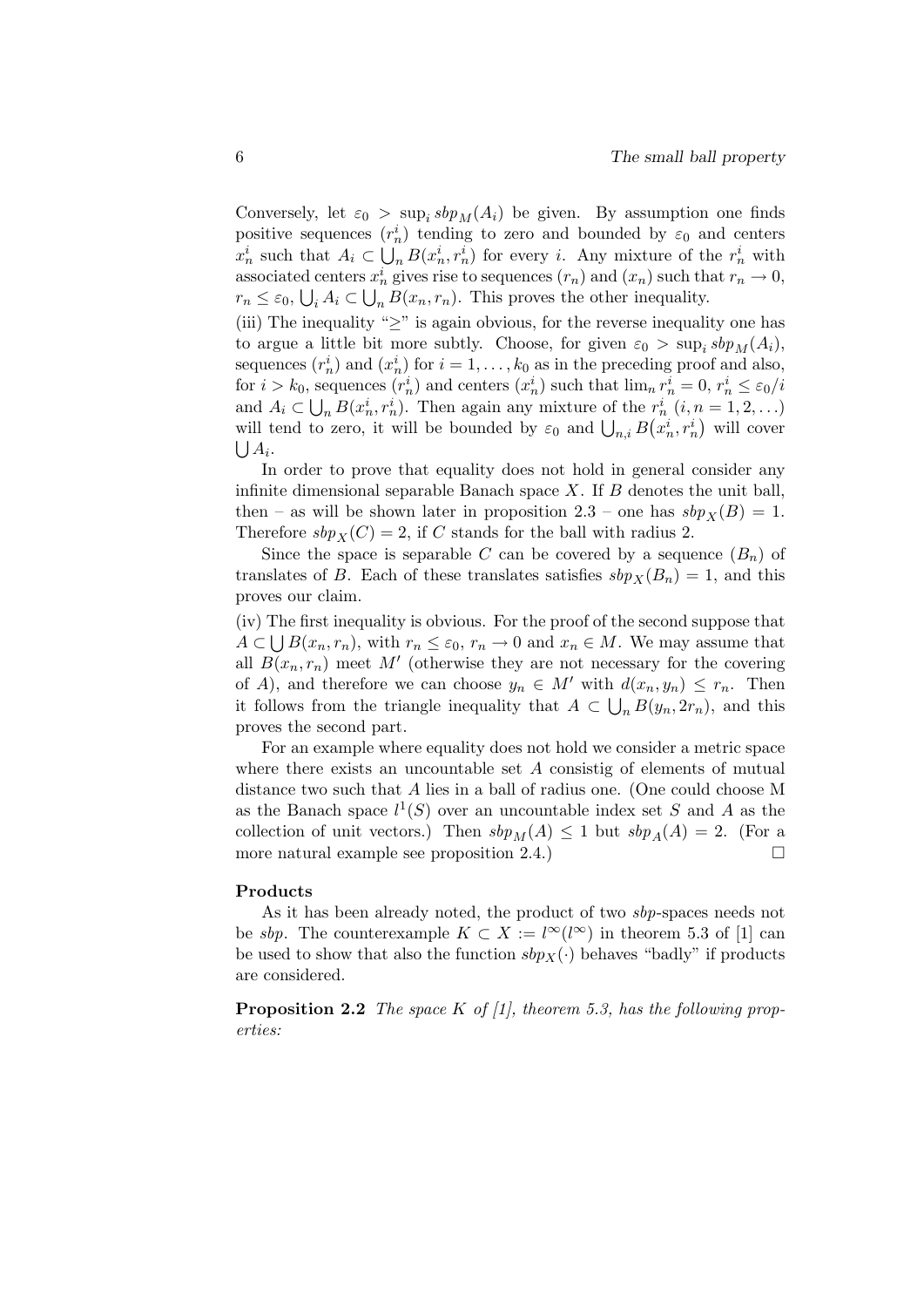Conversely, let  $\varepsilon_0 > \sup_i s b p_M(A_i)$  be given. By assumption one finds positive sequences  $(r_n^i)$  tending to zero and bounded by  $\varepsilon_0$  and centers  $x_n^i$  such that  $A_i \subset \bigcup_n B(x_n^i, r_n^i)$  for every i. Any mixture of the  $r_n^i$  with associated centers  $x_n^i$  gives rise to sequences  $(r_n)$  and  $(x_n)$  such that  $r_n \to 0$ ,  $r_n \leq \varepsilon_0, \bigcup_i A_i \subset \bigcup_n B(x_n, r_n)$ . This proves the other inequality. (iii) The inequality " $\geq$ " is again obvious, for the reverse inequality one has to argue a little bit more subtly. Choose, for given  $\varepsilon_0 > \sup_i sbp_M(A_i)$ , sequences  $(r_n^i)$  and  $(x_n^i)$  for  $i = 1, ..., k_0$  as in the preceding proof and also, for  $i > k_0$ , sequences  $(r_n^i)$  and centers  $(x_n^i)$  such that  $\lim_n r_n^i = 0$ ,  $r_n^i \leq \varepsilon_0/i$ and  $A_i \subset \bigcup_n B(x_n^i, r_n^i)$ . Then again any mixture of the  $r_n^i$   $(i, n = 1, 2, ...)$ will tend to zero, it will be bounded by  $\varepsilon_0$  and  $\bigcup_{n,i} B(x_n^i, r_n^i)$  will cover  $\bigcup A_i.$ 

In order to prove that equality does not hold in general consider any infinite dimensional separable Banach space  $X$ . If  $B$  denotes the unit ball, then – as will be shown later in proposition 2.3 – one has  $sbp<sub>X</sub>(B) = 1$ . Therefore  $sbp_X(C) = 2$ , if C stands for the ball with radius 2.

Since the space is separable C can be covered by a sequence  $(B_n)$  of translates of B. Each of these translates satisfies  $sbp_X(B_n) = 1$ , and this proves our claim.

(iv) The first inequality is obvious. For the proof of the second suppose that  $A \subset \bigcup B(x_n, r_n),$  with  $r_n \leq \varepsilon_0, r_n \to 0$  and  $x_n \in M$ . We may assume that all  $B(x_n, r_n)$  meet M' (otherwise they are not necessary for the covering of A), and therefore we can choose  $y_n \in M'$  with  $d(x_n, y_n) \leq r_n$ . Then it follows from the triangle inequality that  $A \subset \bigcup_n B(y_n, 2r_n)$ , and this proves the second part.

For an example where equality does not hold we consider a metric space where there exists an uncountable set  $A$  consistig of elements of mutual distance two such that A lies in a ball of radius one. (One could choose M as the Banach space  $l^1(S)$  over an uncountable index set S and A as the collection of unit vectors.) Then  $sbp<sub>M</sub>(A) \leq 1$  but  $sbp<sub>A</sub>(A) = 2$ . (For a more natural example see proposition 2.4.)

#### Products

As it has been already noted, the product of two sbp-spaces needs not be sbp. The counterexample  $K \subset X := l^{\infty}(l^{\infty})$  in theorem 5.3 of [1] can be used to show that also the function  $sbp_X(\cdot)$  behaves "badly" if products are considered.

**Proposition 2.2** The space K of  $\vert 1 \vert$ , theorem 5.3, has the following properties: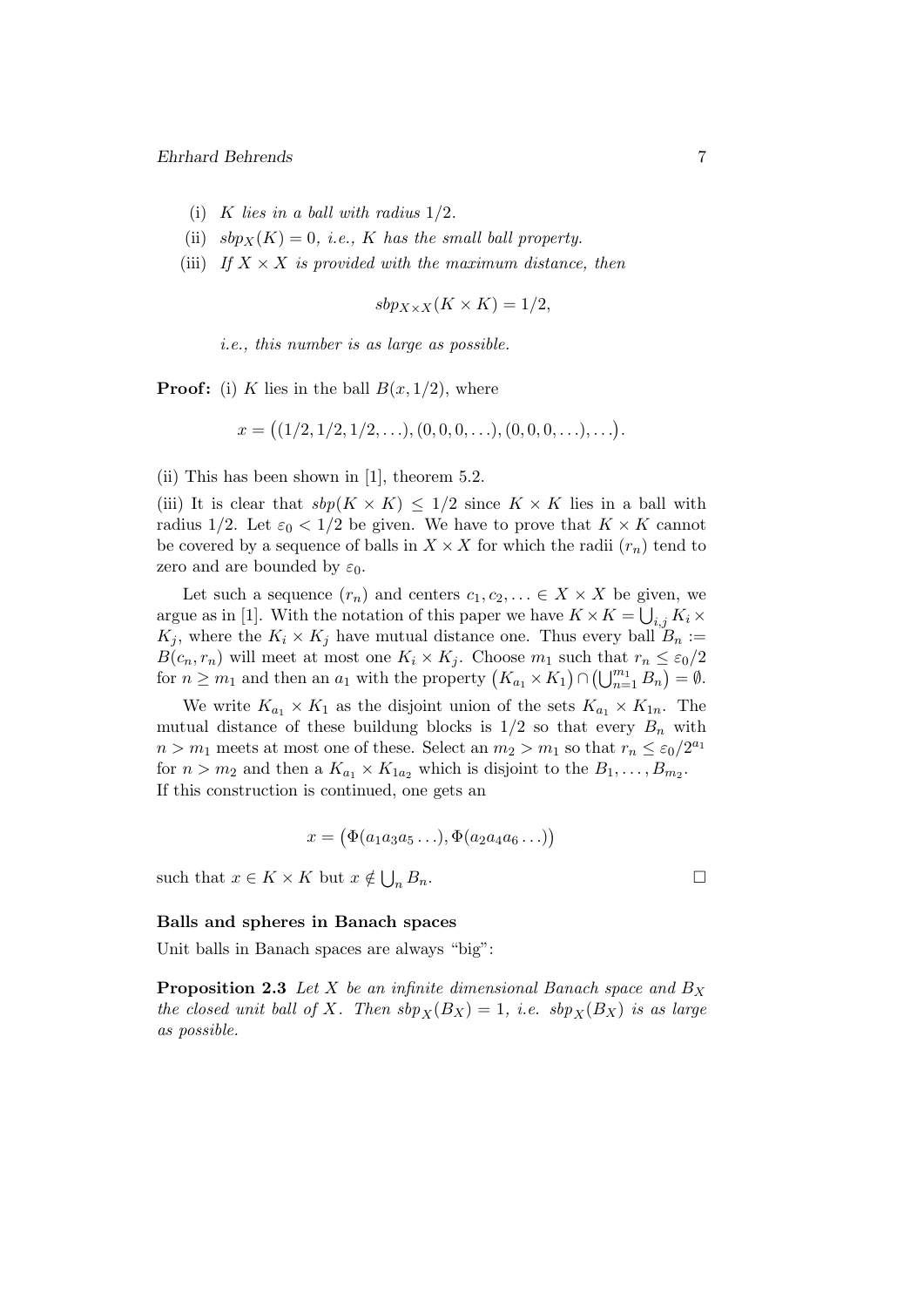- (i) K lies in a ball with radius  $1/2$ .
- (ii)  $sbp_X(K) = 0$ , *i.e.*, K has the small ball property.
- (iii) If  $X \times X$  is provided with the maximum distance, then

$$
sbp_{X \times X}(K \times K) = 1/2,
$$

i.e., this number is as large as possible.

**Proof:** (i) K lies in the ball  $B(x, 1/2)$ , where

$$
x = ((1/2, 1/2, 1/2, \ldots), (0, 0, 0, \ldots), (0, 0, 0, \ldots), \ldots).
$$

(ii) This has been shown in [1], theorem 5.2.

(iii) It is clear that  $sbp(K \times K) \leq 1/2$  since  $K \times K$  lies in a ball with radius 1/2. Let  $\varepsilon_0 < 1/2$  be given. We have to prove that  $K \times K$  cannot be covered by a sequence of balls in  $X \times X$  for which the radii  $(r_n)$  tend to zero and are bounded by  $\varepsilon_0$ .

Let such a sequence  $(r_n)$  and centers  $c_1, c_2, \ldots \in X \times X$  be given, we argue as in [1]. With the notation of this paper we have  $K \times K = \bigcup_{i,j} K_i \times$  $K_j$ , where the  $K_i \times K_j$  have mutual distance one. Thus every ball  $B_n :=$  $B(c_n, r_n)$  will meet at most one  $K_i \times K_j$ . Choose  $m_1$  such that  $r_n \leq \varepsilon_0/2$ for  $n \geq m_1$  and then an  $a_1$  with the property  $(K_{a_1} \times K_1) \cap (\bigcup_{n=1}^{m_1} B_n) = \emptyset$ .

We write  $K_{a_1} \times K_1$  as the disjoint union of the sets  $K_{a_1} \times K_{1n}$ . The mutual distance of these buildung blocks is  $1/2$  so that every  $B_n$  with  $n > m_1$  meets at most one of these. Select an  $m_2 > m_1$  so that  $r_n \leq \varepsilon_0/2^{a_1}$ for  $n > m_2$  and then a  $K_{a_1} \times K_{1a_2}$  which is disjoint to the  $B_1, \ldots, B_{m_2}$ . If this construction is continued, one gets an

$$
x = (\Phi(a_1 a_3 a_5 \ldots), \Phi(a_2 a_4 a_6 \ldots))
$$

such that  $x \in K \times K$  but  $x \notin \bigcup$  $n B_n$ .

#### Balls and spheres in Banach spaces

Unit balls in Banach spaces are always "big":

**Proposition 2.3** Let X be an infinite dimensional Banach space and  $B_X$ the closed unit ball of X. Then  $sbp_X(B_X) = 1$ , i.e.  $sbp_X(B_X)$  is as large as possible.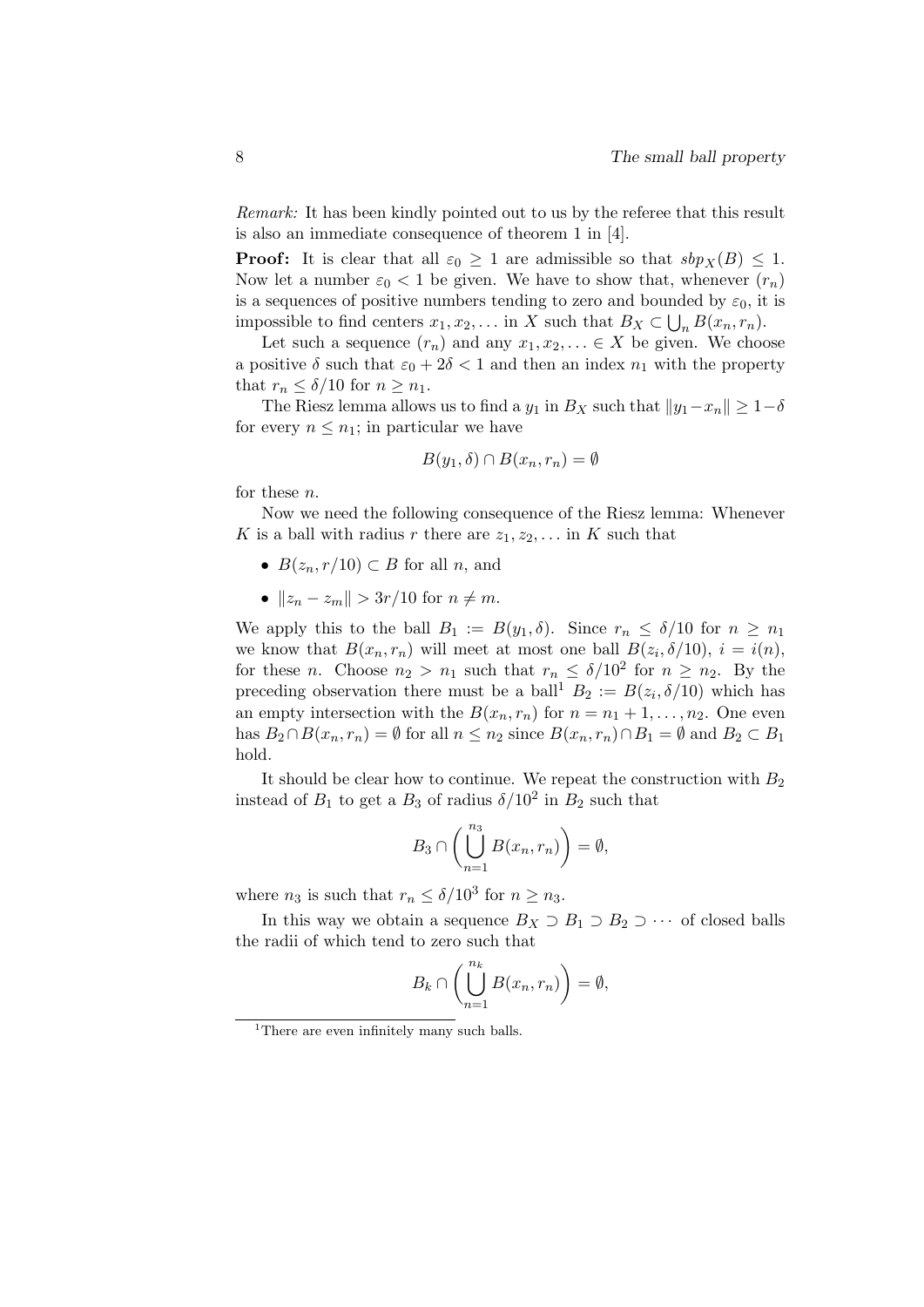Remark: It has been kindly pointed out to us by the referee that this result is also an immediate consequence of theorem 1 in [4].

**Proof:** It is clear that all  $\varepsilon_0 \geq 1$  are admissible so that  $sbp_X(B) \leq 1$ . Now let a number  $\varepsilon_0 < 1$  be given. We have to show that, whenever  $(r_n)$ is a sequences of positive numbers tending to zero and bounded by  $\varepsilon_0$ , it is impossible to find centers  $x_1, x_2, \ldots$  in X such that  $B_X \subset \bigcup_n B(x_n, r_n)$ .

Let such a sequence  $(r_n)$  and any  $x_1, x_2, \ldots \in X$  be given. We choose a positive  $\delta$  such that  $\varepsilon_0 + 2\delta < 1$  and then an index  $n_1$  with the property that  $r_n \leq \delta/10$  for  $n \geq n_1$ .

The Riesz lemma allows us to find a  $y_1$  in  $B_X$  such that  $||y_1-x_n|| \geq 1-\delta$ for every  $n \leq n_1$ ; in particular we have

$$
B(y_1, \delta) \cap B(x_n, r_n) = \emptyset
$$

for these n.

Now we need the following consequence of the Riesz lemma: Whenever K is a ball with radius r there are  $z_1, z_2, \ldots$  in K such that

- $B(z_n, r/10) \subset B$  for all *n*, and
- $||z_n z_m|| > 3r/10$  for  $n \neq m$ .

We apply this to the ball  $B_1 := B(y_1, \delta)$ . Since  $r_n \leq \delta/10$  for  $n \geq n_1$ we know that  $B(x_n, r_n)$  will meet at most one ball  $B(z_i, \delta/10), i = i(n)$ , for these *n*. Choose  $n_2 > n_1$  such that  $r_n \leq \delta/10^2$  for  $n \geq n_2$ . By the preceding observation there must be a ball<sup>1</sup>  $B_2 := B(z_i, \delta/10)$  which has an empty intersection with the  $B(x_n, r_n)$  for  $n = n_1 + 1, \ldots, n_2$ . One even has  $B_2 \cap B(x_n, r_n) = \emptyset$  for all  $n \leq n_2$  since  $B(x_n, r_n) \cap B_1 = \emptyset$  and  $B_2 \subset B_1$ hold.

It should be clear how to continue. We repeat the construction with  $B_2$ instead of  $B_1$  to get a  $B_3$  of radius  $\delta/10^2$  in  $B_2$  such that

$$
B_3 \cap \left( \bigcup_{n=1}^{n_3} B(x_n, r_n) \right) = \emptyset,
$$

where  $n_3$  is such that  $r_n \leq \delta/10^3$  for  $n \geq n_3$ .

In this way we obtain a sequence  $B_X \supset B_1 \supset B_2 \supset \cdots$  of closed balls the radii of which tend to zero such that

$$
B_k \cap \left(\bigcup_{n=1}^{n_k} B(x_n, r_n)\right) = \emptyset,
$$

<sup>&</sup>lt;sup>1</sup>There are even infinitely many such balls.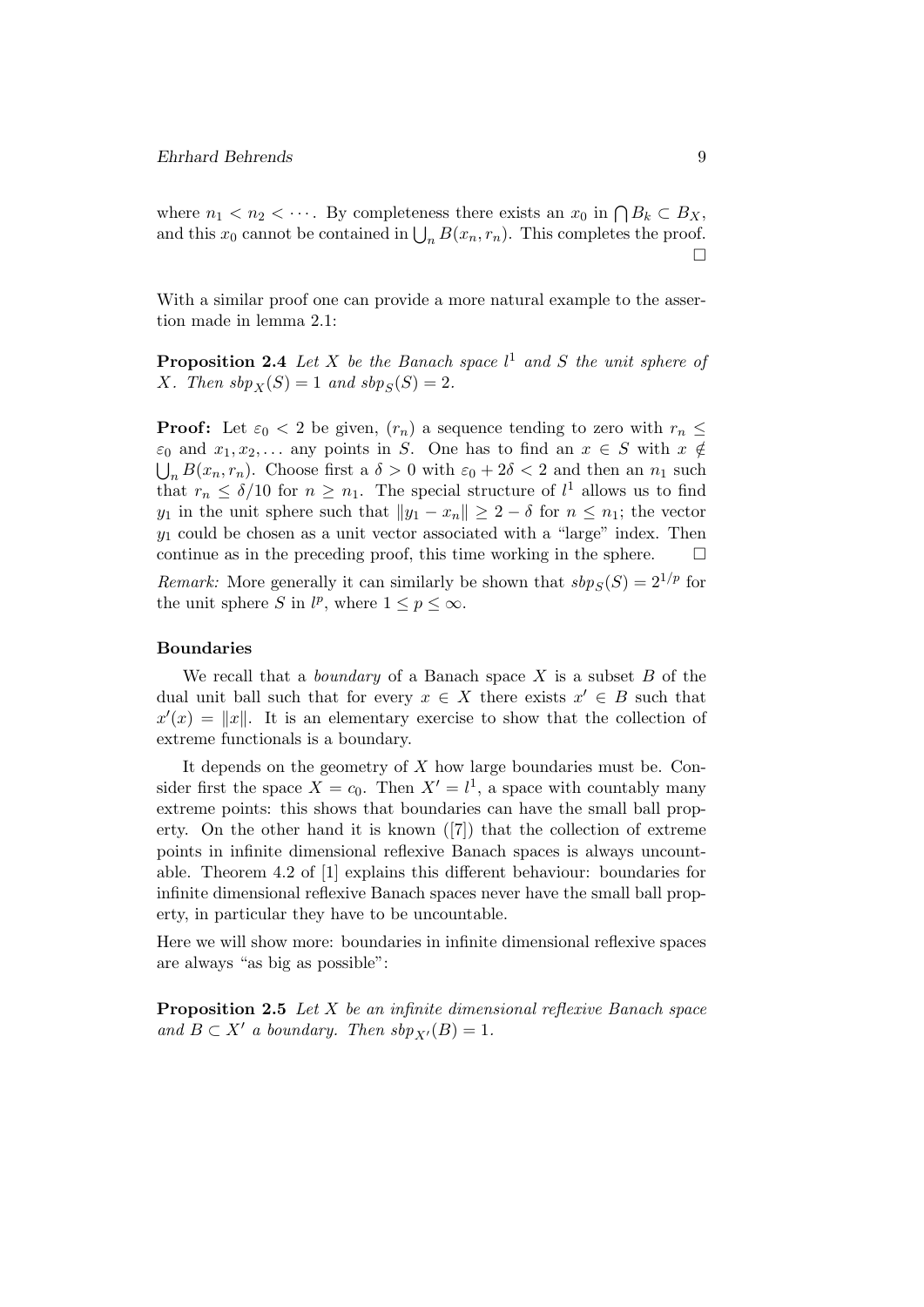where  $n_1 < n_2 < \cdots$ . By completeness there exists an  $x_0$  in  $\bigcap B_k \subset B_X$ , and this  $x_0$  cannot be contained in  $\bigcup_n B(x_n, r_n)$ . This completes the proof. П

With a similar proof one can provide a more natural example to the assertion made in lemma 2.1:

**Proposition 2.4** Let X be the Banach space  $l^1$  and S the unit sphere of X. Then  $sbp_X(S) = 1$  and  $sbp_S(S) = 2$ .

**Proof:** Let  $\varepsilon_0 < 2$  be given,  $(r_n)$  a sequence tending to zero with  $r_n \leq$  $\varepsilon_0$  and  $x_1, x_2, \ldots$  any points in S. One has to find an  $x \in S$  with  $x \notin$  $\bigcup_n B(x_n, r_n)$ . Choose first a  $\delta > 0$  with  $\varepsilon_0 + 2\delta < 2$  and then an  $n_1$  such that  $r_n \leq \delta/10$  for  $n \geq n_1$ . The special structure of  $l^1$  allows us to find y<sub>1</sub> in the unit sphere such that  $||y_1 - x_n|| \geq 2 - \delta$  for  $n \leq n_1$ ; the vector  $y_1$  could be chosen as a unit vector associated with a "large" index. Then continue as in the preceding proof, this time working in the sphere.

Remark: More generally it can similarly be shown that  $sbp_S(S) = 2^{1/p}$  for the unit sphere S in  $l^p$ , where  $1 \leq p \leq \infty$ .

#### Boundaries

We recall that a *boundary* of a Banach space  $X$  is a subset  $B$  of the dual unit ball such that for every  $x \in X$  there exists  $x' \in B$  such that  $x'(x) = ||x||$ . It is an elementary exercise to show that the collection of extreme functionals is a boundary.

It depends on the geometry of  $X$  how large boundaries must be. Consider first the space  $X = c_0$ . Then  $X' = l^1$ , a space with countably many extreme points: this shows that boundaries can have the small ball property. On the other hand it is known ([7]) that the collection of extreme points in infinite dimensional reflexive Banach spaces is always uncountable. Theorem 4.2 of [1] explains this different behaviour: boundaries for infinite dimensional reflexive Banach spaces never have the small ball property, in particular they have to be uncountable.

Here we will show more: boundaries in infinite dimensional reflexive spaces are always "as big as possible":

Proposition 2.5 Let X be an infinite dimensional reflexive Banach space and  $B \subset X'$  a boundary. Then  $sbp_{X'}(B) = 1$ .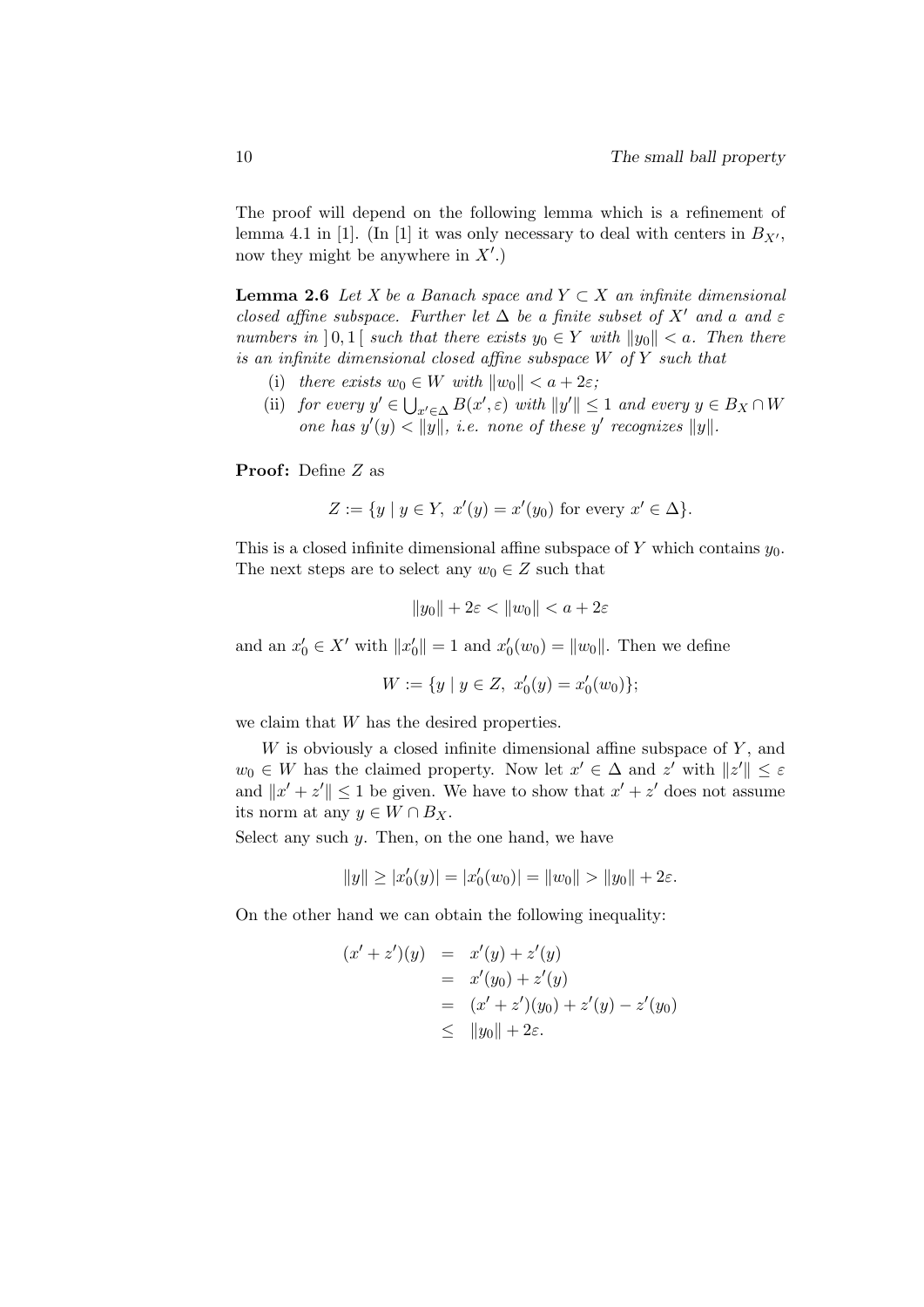The proof will depend on the following lemma which is a refinement of lemma 4.1 in [1]. (In [1] it was only necessary to deal with centers in  $B_{X'}$ , now they might be anywhere in  $X'$ .)

**Lemma 2.6** Let X be a Banach space and  $Y \subset X$  an infinite dimensional closed affine subspace. Further let  $\Delta$  be a finite subset of X' and a and  $\varepsilon$ numbers in [0,1] such that there exists  $y_0 \in Y$  with  $||y_0|| < a$ . Then there is an infinite dimensional closed affine subspace W of Y such that

- (i) there exists  $w_0 \in W$  with  $||w_0|| < a + 2\varepsilon$ ;
- (ii) for every  $y' \in \bigcup_{x' \in \Delta} B(x', \varepsilon)$  with  $||y'|| \leq 1$  and every  $y \in B_X \cap W$ one has  $y'(y) < ||y||$ , i.e. none of these y' recognizes  $||y||$ .

**Proof:** Define  $Z$  as

$$
Z := \{ y \mid y \in Y, \ x'(y) = x'(y_0) \text{ for every } x' \in \Delta \}.
$$

This is a closed infinite dimensional affine subspace of Y which contains  $y_0$ . The next steps are to select any  $w_0 \in Z$  such that

$$
||y_0|| + 2\varepsilon < ||w_0|| < a + 2\varepsilon
$$

and an  $x'_0 \in X'$  with  $||x'_0|| = 1$  and  $x'_0(w_0) = ||w_0||$ . Then we define

$$
W := \{ y \mid y \in Z, \ x'_0(y) = x'_0(w_0) \};
$$

we claim that  $W$  has the desired properties.

 $W$  is obviously a closed infinite dimensional affine subspace of  $Y$ , and  $w_0 \in W$  has the claimed property. Now let  $x' \in \Delta$  and  $z'$  with  $||z'|| \leq \varepsilon$ and  $||x' + z'|| \leq 1$  be given. We have to show that  $x' + z'$  does not assume its norm at any  $y \in W \cap B_X$ .

Select any such  $y$ . Then, on the one hand, we have

$$
||y|| \ge |x'_0(y)| = |x'_0(w_0)| = ||w_0|| > ||y_0|| + 2\varepsilon.
$$

On the other hand we can obtain the following inequality:

$$
(x' + z')(y) = x'(y) + z'(y)
$$
  
=  $x'(y_0) + z'(y)$   
=  $(x' + z')(y_0) + z'(y) - z'(y_0)$   
 $\leq ||y_0|| + 2\varepsilon.$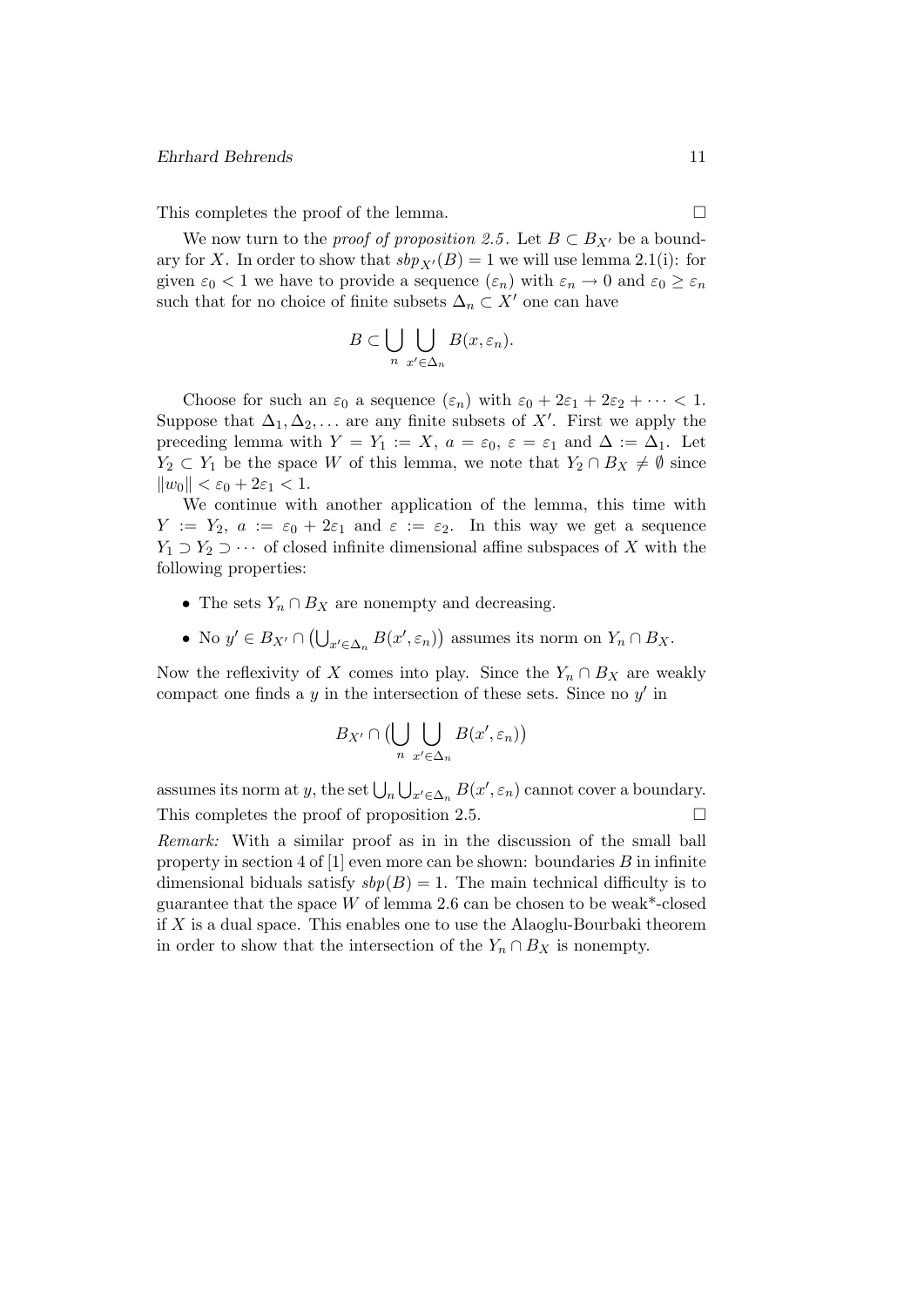#### Ehrhard Behrends 11

This completes the proof of the lemma.

We now turn to the *proof of proposition 2.5*. Let  $B \subset B_{X'}$  be a boundary for X. In order to show that  $sbp_{X'}(B) = 1$  we will use lemma 2.1(i): for given  $\varepsilon_0 < 1$  we have to provide a sequence  $(\varepsilon_n)$  with  $\varepsilon_n \to 0$  and  $\varepsilon_0 \geq \varepsilon_n$ such that for no choice of finite subsets  $\Delta_n \subset X'$  one can have

$$
B \subset \bigcup_{n} \bigcup_{x' \in \Delta_n} B(x, \varepsilon_n).
$$

Choose for such an  $\varepsilon_0$  a sequence  $(\varepsilon_n)$  with  $\varepsilon_0 + 2\varepsilon_1 + 2\varepsilon_2 + \cdots < 1$ . Suppose that  $\Delta_1, \Delta_2, \ldots$  are any finite subsets of X'. First we apply the preceding lemma with  $Y = Y_1 := X$ ,  $a = \varepsilon_0$ ,  $\varepsilon = \varepsilon_1$  and  $\Delta := \Delta_1$ . Let  $Y_2 \subset Y_1$  be the space W of this lemma, we note that  $Y_2 \cap B_X \neq \emptyset$  since  $\|w_0\| < \varepsilon_0 + 2\varepsilon_1 < 1.$ 

We continue with another application of the lemma, this time with  $Y := Y_2$ ,  $a := \varepsilon_0 + 2\varepsilon_1$  and  $\varepsilon := \varepsilon_2$ . In this way we get a sequence  $Y_1 \supset Y_2 \supset \cdots$  of closed infinite dimensional affine subspaces of X with the following properties:

- The sets  $Y_n \cap B_X$  are nonempty and decreasing.
- No  $y' \in B_{X'} \cap (\bigcup_{x' \in \Delta_n} B(x', \varepsilon_n))$  assumes its norm on  $Y_n \cap B_X$ .

Now the reflexivity of X comes into play. Since the  $Y_n \cap B_X$  are weakly compact one finds a  $y$  in the intersection of these sets. Since no  $y'$  in

$$
B_{X'} \cap \bigcup_{n} \bigcup_{x' \in \Delta_n} B(x', \varepsilon_n)\big)
$$

assumes its norm at y, the set  $\bigcup_n \bigcup_{x' \in \Delta_n} B(x', \varepsilon_n)$  cannot cover a boundary. This completes the proof of proposition 2.5.  $\Box$ 

Remark: With a similar proof as in in the discussion of the small ball property in section 4 of  $[1]$  even more can be shown: boundaries B in infinite dimensional biduals satisfy  $sbp(B) = 1$ . The main technical difficulty is to guarantee that the space  $W$  of lemma 2.6 can be chosen to be weak\*-closed if  $X$  is a dual space. This enables one to use the Alaoglu-Bourbaki theorem in order to show that the intersection of the  $Y_n \cap B_X$  is nonempty.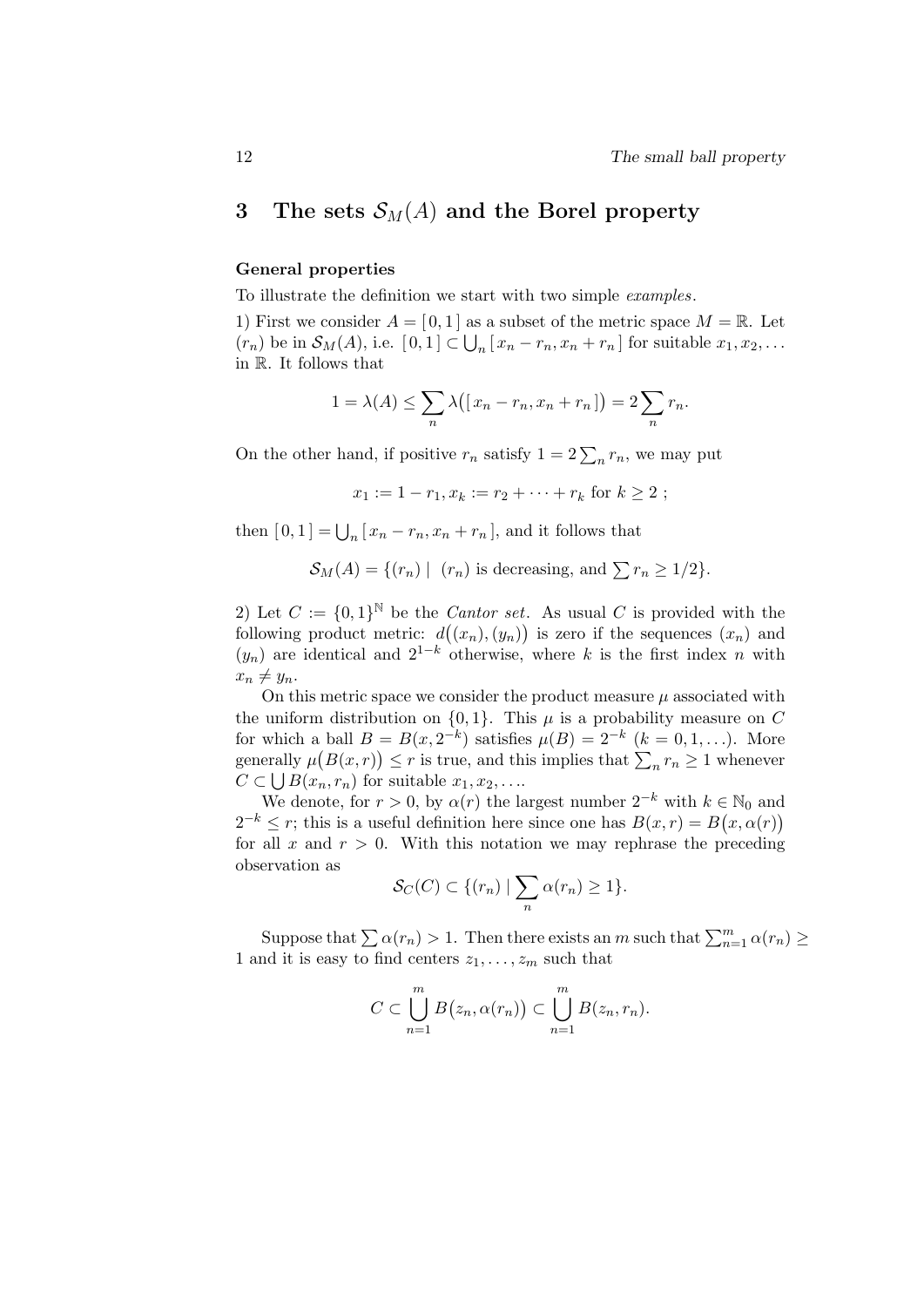# 3 The sets  $\mathcal{S}_M(A)$  and the Borel property

### General properties

To illustrate the definition we start with two simple examples.

1) First we consider  $A = [0, 1]$  as a subset of the metric space  $M = \mathbb{R}$ . Let  $(r_n)$  be in  $\mathcal{S}_M(A)$ , i.e.  $[0,1] \subset \bigcup_n [x_n - r_n, x_n + r_n]$  for suitable  $x_1, x_2, \ldots$ in R. It follows that

$$
1 = \lambda(A) \le \sum_{n} \lambda([x_n - r_n, x_n + r_n]) = 2 \sum_{n} r_n.
$$

On the other hand, if positive  $r_n$  satisfy  $1 = 2 \sum_n r_n$ , we may put

$$
x_1 := 1 - r_1, x_k := r_2 + \cdots + r_k \text{ for } k \ge 2 ;
$$

then  $[0,1] = \bigcup_n [x_n - r_n, x_n + r_n]$ , and it follows that

$$
\mathcal{S}_M(A) = \{ (r_n) \mid (r_n) \text{ is decreasing, and } \sum r_n \ge 1/2 \}.
$$

2) Let  $C := \{0,1\}^{\mathbb{N}}$  be the *Cantor set*. As usual C is provided with the following product metric:  $d((x_n), (y_n))$  is zero if the sequences  $(x_n)$  and  $(y_n)$  are identical and  $2^{1-k}$  otherwise, where k is the first index n with  $x_n \neq y_n$ .

On this metric space we consider the product measure  $\mu$  associated with the uniform distribution on  $\{0, 1\}$ . This  $\mu$  is a probability measure on C for which a ball  $B = B(x, 2^{-k})$  satisfies  $\mu(B) = 2^{-k}$   $(k = 0, 1, \ldots)$ . More generally  $\mu(B(x,r)) \leq r$  is true, and this implies that  $\sum_{n} r_n \geq 1$  whenever  $C \subset \bigcup B(x_n, r_n)$  for suitable  $x_1, x_2, \ldots$ 

We denote, for  $r > 0$ , by  $\alpha(r)$  the largest number  $2^{-k}$  with  $k \in \mathbb{N}_0$  and  $2^{-k} \leq r$ ; this is a useful definition here since one has  $B(x,r) = B(x,\alpha(r))$ for all x and  $r > 0$ . With this notation we may rephrase the preceding observation as

$$
\mathcal{S}_C(C) \subset \{(r_n) \mid \sum_n \alpha(r_n) \ge 1\}.
$$

Suppose that  $\sum \alpha(r_n) > 1$ . Then there exists an m such that  $\sum_{n=1}^{m} \alpha(r_n) \geq$ 1 and it is easy to find centers  $z_1, \ldots, z_m$  such that

$$
C \subset \bigcup_{n=1}^{m} B(z_n, \alpha(r_n)) \subset \bigcup_{n=1}^{m} B(z_n, r_n).
$$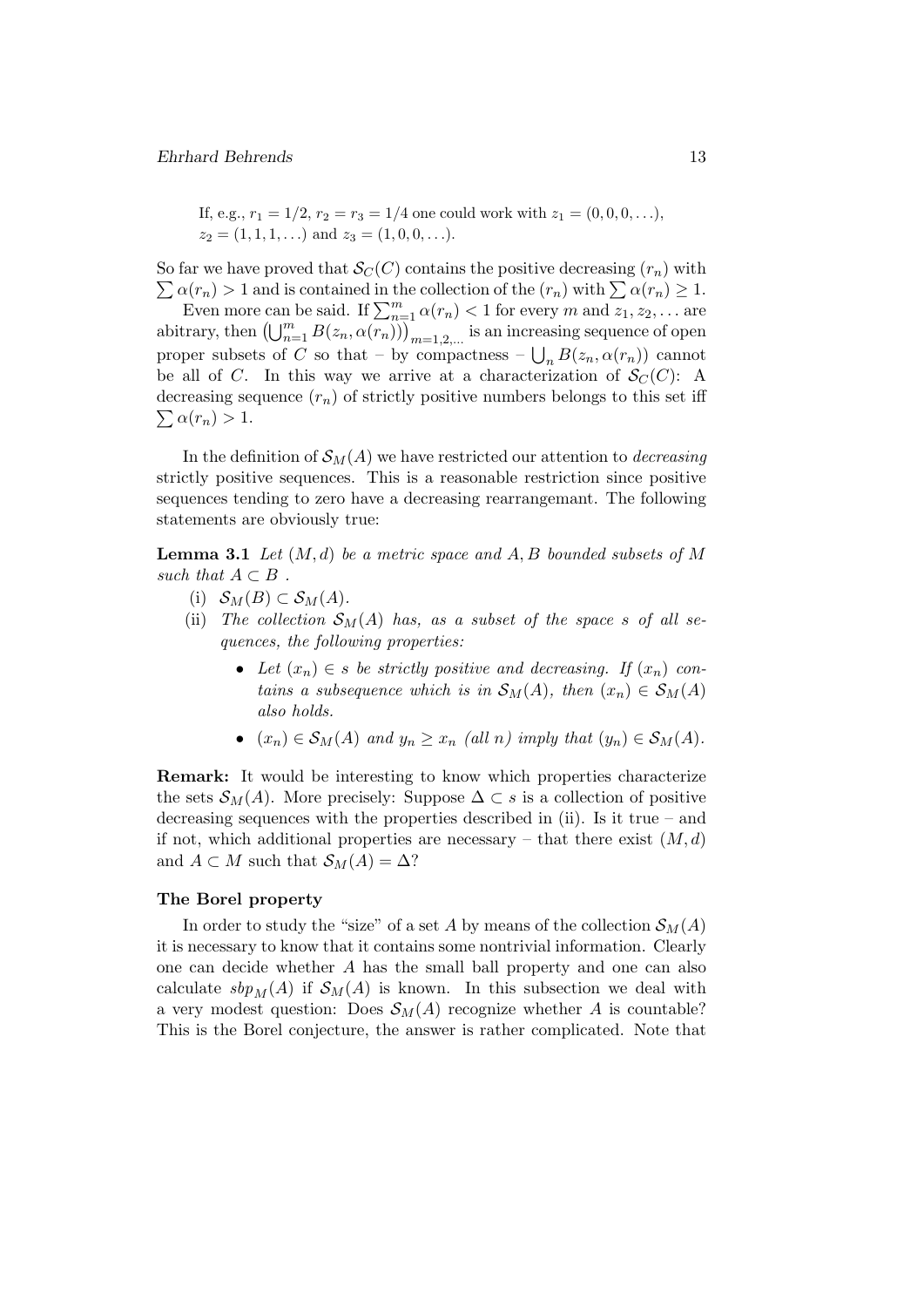If, e.g.,  $r_1 = 1/2$ ,  $r_2 = r_3 = 1/4$  one could work with  $z_1 = (0, 0, 0, \ldots)$ ,  $z_2 = (1, 1, 1, \ldots)$  and  $z_3 = (1, 0, 0, \ldots)$ .

 $\sum \alpha(r_n) > 1$  and is contained in the collection of the  $(r_n)$  with  $\sum \alpha(r_n) \geq 1$ . So far we have proved that  $\mathcal{S}_{C}(C)$  contains the positive decreasing  $(r_n)$  with

Even more can be said. If  $\sum_{n=1}^{m} \alpha(r_n) < 1$  for every m and  $z_1, z_2, \ldots$  are abitrary, then  $\left(\bigcup_{n=1}^m B(z_n, \alpha(\overline{r_n}))\right)_{m=1,2,...}$  is an increasing sequence of open proper subsets of C so that – by compactness –  $\bigcup_n B(z_n, \alpha(r_n))$  cannot be all of C. In this way we arrive at a characterization of  $\mathcal{S}_{C}(C)$ : A  $\sum \alpha(r_n) > 1.$ decreasing sequence  $(r_n)$  of strictly positive numbers belongs to this set iff

In the definition of  $\mathcal{S}_M(A)$  we have restricted our attention to *decreasing* strictly positive sequences. This is a reasonable restriction since positive sequences tending to zero have a decreasing rearrangemant. The following statements are obviously true:

**Lemma 3.1** Let  $(M, d)$  be a metric space and A, B bounded subsets of M such that  $A \subset B$ .

- (i)  $S_M(B) \subset S_M(A)$ .
- (ii) The collection  $\mathcal{S}_M(A)$  has, as a subset of the space s of all sequences, the following properties:
	- Let  $(x_n) \in s$  be strictly positive and decreasing. If  $(x_n)$  contains a subsequence which is in  $\mathcal{S}_M(A)$ , then  $(x_n) \in \mathcal{S}_M(A)$ also holds.
	- $(x_n) \in S_M(A)$  and  $y_n \ge x_n$  (all n) imply that  $(y_n) \in S_M(A)$ .

Remark: It would be interesting to know which properties characterize the sets  $\mathcal{S}_M(A)$ . More precisely: Suppose  $\Delta \subset s$  is a collection of positive decreasing sequences with the properties described in (ii). Is it true – and if not, which additional properties are necessary – that there exist  $(M, d)$ and  $A \subset M$  such that  $\mathcal{S}_M(A) = \Delta$ ?

#### The Borel property

In order to study the "size" of a set A by means of the collection  $\mathcal{S}_M(A)$ it is necessary to know that it contains some nontrivial information. Clearly one can decide whether A has the small ball property and one can also calculate  $sbp_M(A)$  if  $\mathcal{S}_M(A)$  is known. In this subsection we deal with a very modest question: Does  $\mathcal{S}_M(A)$  recognize whether A is countable? This is the Borel conjecture, the answer is rather complicated. Note that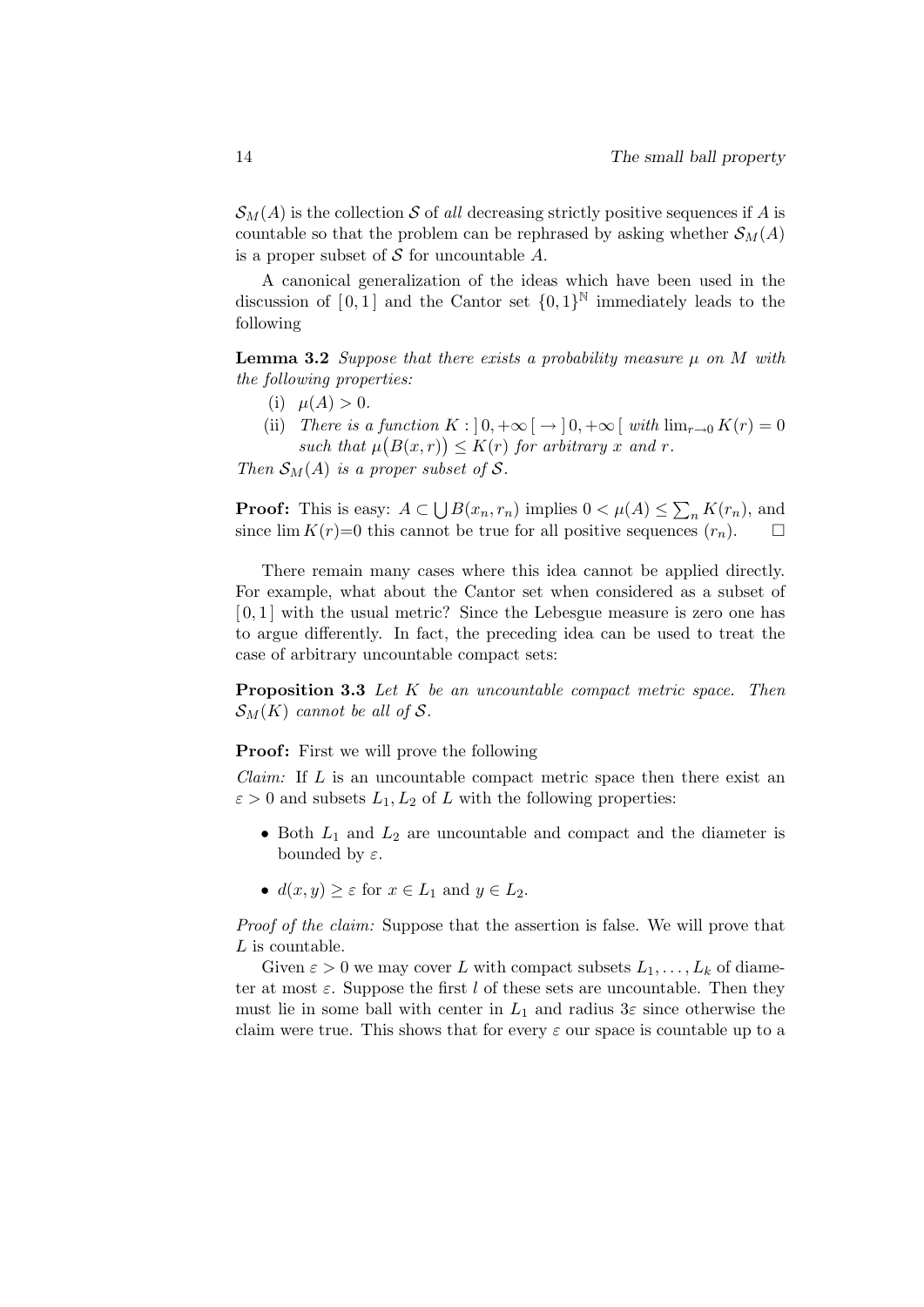$\mathcal{S}_{M}(A)$  is the collection S of all decreasing strictly positive sequences if A is countable so that the problem can be rephrased by asking whether  $\mathcal{S}_M(A)$ is a proper subset of  $S$  for uncountable  $A$ .

A canonical generalization of the ideas which have been used in the discussion of  $[0,1]$  and the Cantor set  $\{0,1\}^{\mathbb{N}}$  immediately leads to the following

**Lemma 3.2** Suppose that there exists a probability measure  $\mu$  on M with the following properties:

- (i)  $\mu(A) > 0$ .
- (ii) There is a function  $K : [0, +\infty) \rightarrow [0, +\infty)$  with  $\lim_{r\to 0} K(r) = 0$ such that  $\mu(B(x,r)) \leq K(r)$  for arbitrary x and r.

Then  $\mathcal{S}_M(A)$  is a proper subset of S.

**Proof:** This is easy:  $A \subset \bigcup B(x_n, r_n)$  implies  $0 < \mu(A) \leq \sum_n K(r_n)$ , and since  $\lim K(r)=0$  this cannot be true for all positive sequences  $(r_n)$ .  $\Box$ 

There remain many cases where this idea cannot be applied directly. For example, what about the Cantor set when considered as a subset of  $[0,1]$  with the usual metric? Since the Lebesgue measure is zero one has to argue differently. In fact, the preceding idea can be used to treat the case of arbitrary uncountable compact sets:

Proposition 3.3 Let K be an uncountable compact metric space. Then  $\mathcal{S}_M(K)$  cannot be all of S.

### **Proof:** First we will prove the following

*Claim:* If  $L$  is an uncountable compact metric space then there exist an  $\varepsilon > 0$  and subsets  $L_1, L_2$  of L with the following properties:

- Both  $L_1$  and  $L_2$  are uncountable and compact and the diameter is bounded by  $\varepsilon$ .
- $d(x, y) \geq \varepsilon$  for  $x \in L_1$  and  $y \in L_2$ .

Proof of the claim: Suppose that the assertion is false. We will prove that L is countable.

Given  $\varepsilon > 0$  we may cover L with compact subsets  $L_1, \ldots, L_k$  of diameter at most  $\varepsilon$ . Suppose the first l of these sets are uncountable. Then they must lie in some ball with center in  $L_1$  and radius  $3\varepsilon$  since otherwise the claim were true. This shows that for every  $\varepsilon$  our space is countable up to a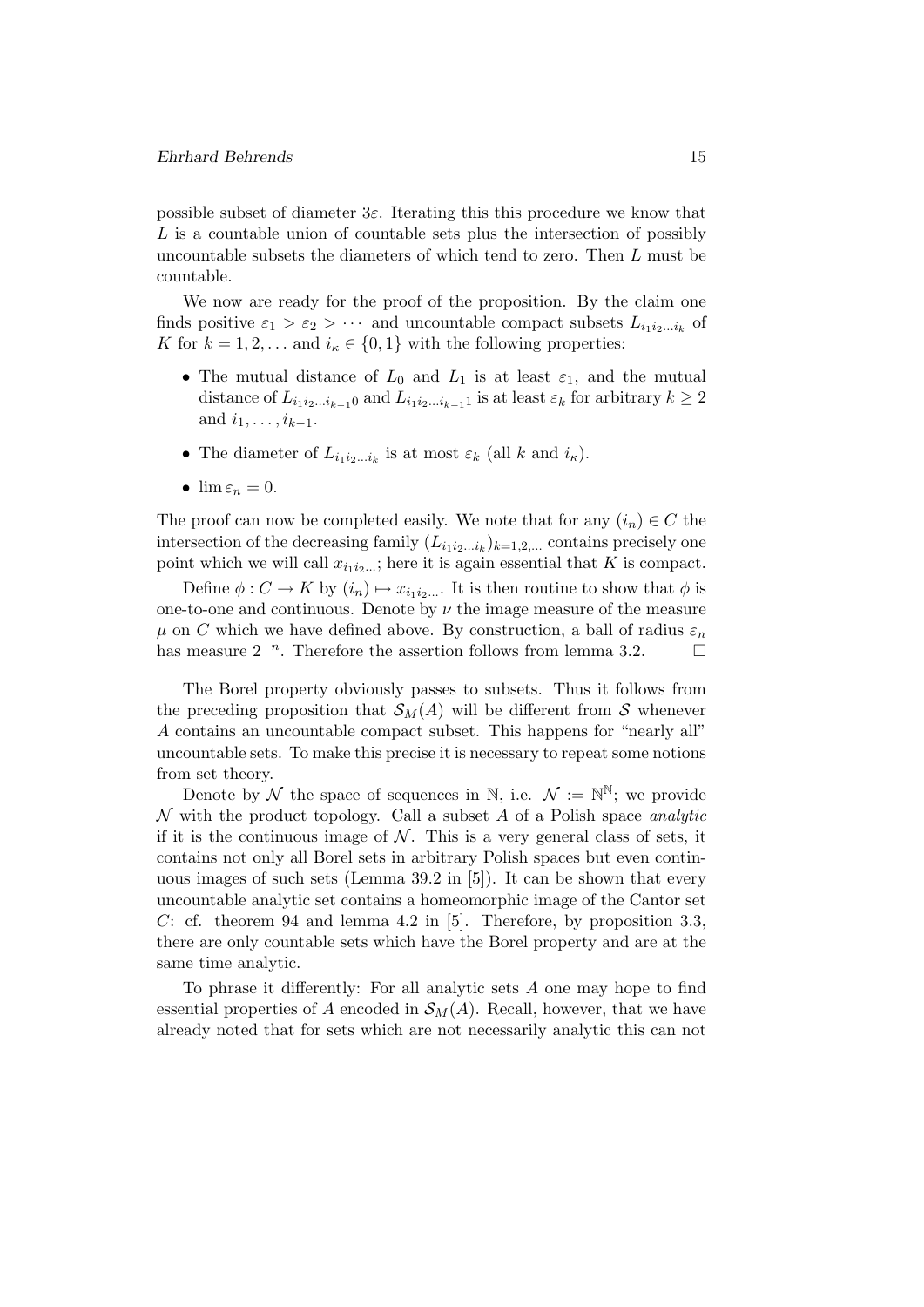possible subset of diameter  $3\varepsilon$ . Iterating this this procedure we know that L is a countable union of countable sets plus the intersection of possibly uncountable subsets the diameters of which tend to zero. Then L must be countable.

We now are ready for the proof of the proposition. By the claim one finds positive  $\varepsilon_1 > \varepsilon_2 > \cdots$  and uncountable compact subsets  $L_{i_1 i_2 \dots i_k}$  of K for  $k = 1, 2, \dots$  and  $i_{\kappa} \in \{0, 1\}$  with the following properties:

- The mutual distance of  $L_0$  and  $L_1$  is at least  $\varepsilon_1$ , and the mutual distance of  $L_{i_1i_2...i_{k-1}0}$  and  $L_{i_1i_2...i_{k-1}1}$  is at least  $\varepsilon_k$  for arbitrary  $k \geq 2$ and  $i_1, \ldots, i_{k-1}$ .
- The diameter of  $L_{i_1 i_2 \dots i_k}$  is at most  $\varepsilon_k$  (all k and  $i_{\kappa}$ ).
- $\lim \varepsilon_n = 0$ .

The proof can now be completed easily. We note that for any  $(i_n) \in C$  the intersection of the decreasing family  $(L_{i_1 i_2 \ldots i_k})_{k=1,2,\ldots}$  contains precisely one point which we will call  $x_{i_1 i_2 \ldots}$ ; here it is again essential that K is compact.

Define  $\phi: C \to K$  by  $(i_n) \mapsto x_{i_1 i_2 \dots}$ . It is then routine to show that  $\phi$  is one-to-one and continuous. Denote by  $\nu$  the image measure of the measure  $\mu$  on C which we have defined above. By construction, a ball of radius  $\varepsilon_n$ has measure  $2^{-n}$ . Therefore the assertion follows from lemma 3.2.  $\Box$ 

The Borel property obviously passes to subsets. Thus it follows from the preceding proposition that  $\mathcal{S}_M(A)$  will be different from S whenever A contains an uncountable compact subset. This happens for "nearly all" uncountable sets. To make this precise it is necessary to repeat some notions from set theory.

Denote by  $\mathcal N$  the space of sequences in N, i.e.  $\mathcal N := \mathbb N^{\mathbb N}$ ; we provide  $\mathcal N$  with the product topology. Call a subset  $A$  of a Polish space *analytic* if it is the continuous image of  $N$ . This is a very general class of sets, it contains not only all Borel sets in arbitrary Polish spaces but even continuous images of such sets (Lemma 39.2 in [5]). It can be shown that every uncountable analytic set contains a homeomorphic image of the Cantor set  $C:$  cf. theorem 94 and lemma 4.2 in [5]. Therefore, by proposition 3.3, there are only countable sets which have the Borel property and are at the same time analytic.

To phrase it differently: For all analytic sets A one may hope to find essential properties of A encoded in  $\mathcal{S}_M(A)$ . Recall, however, that we have already noted that for sets which are not necessarily analytic this can not